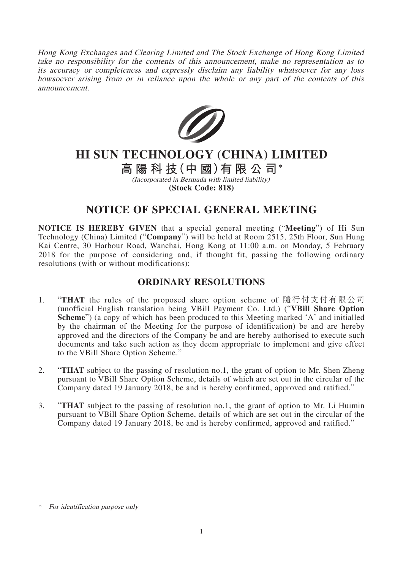Hong Kong Exchanges and Clearing Limited and The Stock Exchange of Hong Kong Limited take no responsibility for the contents of this announcement, make no representation as to its accuracy or completeness and expressly disclaim any liability whatsoever for any loss howsoever arising from or in reliance upon the whole or any part of the contents of this announcement.



## **HI SUN TECHNOLOGY (CHINA) LIMITED**

**高陽科技(中 國)有限公司\***

(Incorporated in Bermuda with limited liability) **(Stock Code: 818)**

## **NOTICE OF SPECIAL GENERAL MEETING**

**NOTICE IS HEREBY GIVEN** that a special general meeting ("**Meeting**") of Hi Sun Technology (China) Limited ("**Company**") will be held at Room 2515, 25th Floor, Sun Hung Kai Centre, 30 Harbour Road, Wanchai, Hong Kong at 11:00 a.m. on Monday, 5 February 2018 for the purpose of considering and, if thought fit, passing the following ordinary resolutions (with or without modifications):

## **ORDINARY RESOLUTIONS**

- 1. "**THAT** the rules of the proposed share option scheme of 隨行付支付有限公司 (unofficial English translation being VBill Payment Co. Ltd.) ("**VBill Share Option Scheme**") (a copy of which has been produced to this Meeting marked 'A' and initialled by the chairman of the Meeting for the purpose of identification) be and are hereby approved and the directors of the Company be and are hereby authorised to execute such documents and take such action as they deem appropriate to implement and give effect to the VBill Share Option Scheme."
- 2. "**THAT** subject to the passing of resolution no.1, the grant of option to Mr. Shen Zheng pursuant to VBill Share Option Scheme, details of which are set out in the circular of the Company dated 19 January 2018, be and is hereby confirmed, approved and ratified."
- 3. "**THAT** subject to the passing of resolution no.1, the grant of option to Mr. Li Huimin pursuant to VBill Share Option Scheme, details of which are set out in the circular of the Company dated 19 January 2018, be and is hereby confirmed, approved and ratified."

<sup>\*</sup> For identification purpose only